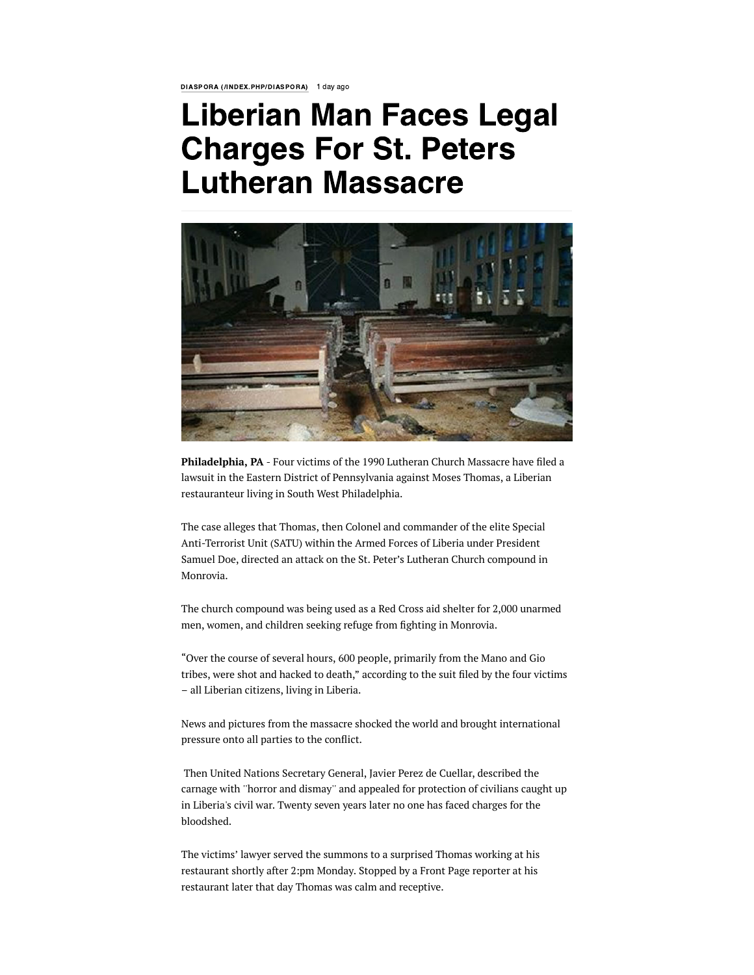DIASPORA [\(/INDEX.PHP/DIASPORA\)](https://frontpageafricaonline.com/index.php/diaspora) 1 day ago

## Liberian Man Faces Legal Charges For St. Peters Lutheran Massacre



Philadelphia, PA - Four victims of the 1990 Lutheran Church Massacre have filed a lawsuit in the Eastern District of Pennsylvania against Moses Thomas, a Liberian restauranteur living in South West Philadelphia.

The case alleges that Thomas, then Colonel and commander of the elite Special Anti-Terrorist Unit (SATU) within the Armed Forces of Liberia under President Samuel Doe, directed an attack on the St. Peter's Lutheran Church compound in Monrovia.

The church compound was being used as a Red Cross aid shelter for 2,000 unarmed men, women, and children seeking refuge from fighting in Monrovia.

"Over the course of several hours, 600 people, primarily from the Mano and Gio tribes, were shot and hacked to death," according to the suit filed by the four victims – all Liberian citizens, living in Liberia.

News and pictures from the massacre shocked the world and brought international pressure onto all parties to the conflict.

Then United Nations Secretary General, Javier Perez de Cuellar, described the carnage with ''horror and dismay'' and appealed for protection of civilians caught up in Liberia's civil war. Twenty seven years later no one has faced charges for the bloodshed.

The victims' lawyer served the summons to a surprised Thomas working at his restaurant shortly after 2:pm Monday. Stopped by a Front Page reporter at his restaurant later that day Thomas was calm and receptive.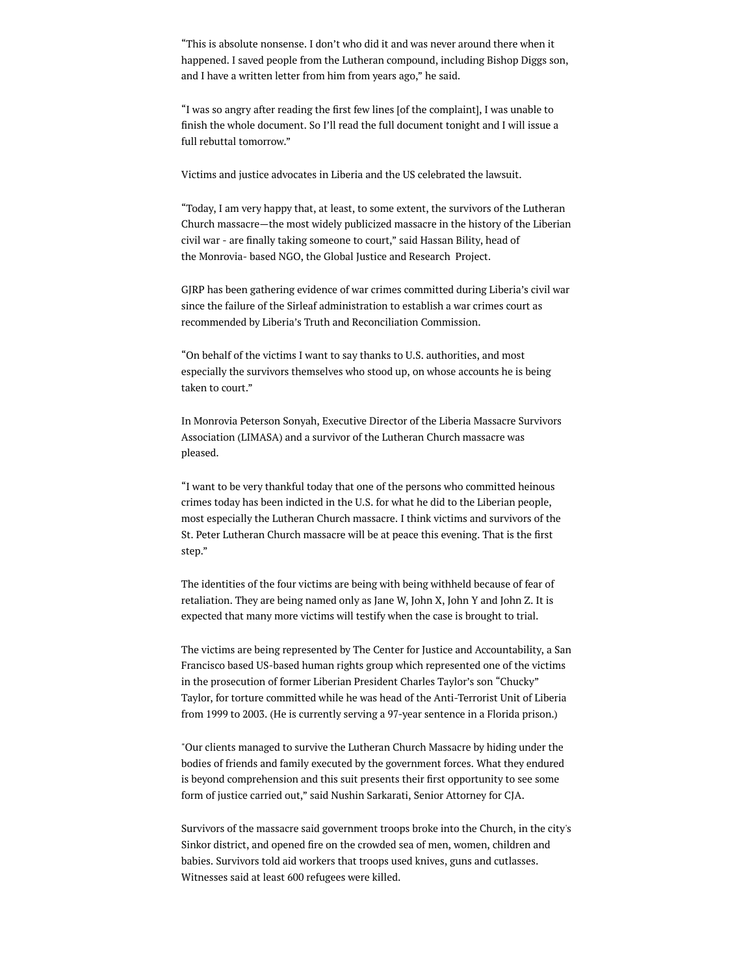"This is absolute nonsense. I don't who did it and was never around there when it happened. I saved people from the Lutheran compound, including Bishop Diggs son, and I have a written letter from him from years ago," he said.

"I was so angry after reading the first few lines [of the complaint], I was unable to ænish the whole document. So I'll read the full document tonight and I will issue a full rebuttal tomorrow."

Victims and justice advocates in Liberia and the US celebrated the lawsuit.

"Today, I am very happy that, at least, to some extent, the survivors of the Lutheran Church massacre—the most widely publicized massacre in the history of the Liberian civil war - are finally taking someone to court," said Hassan Bility, head of the Monrovia- based NGO, the Global Justice and Research Project.

GJRP has been gathering evidence of war crimes committed during Liberia's civil war since the failure of the Sirleaf administration to establish a war crimes court as recommended by Liberia's Truth and Reconciliation Commission.

"On behalf of the victims I want to say thanks to U.S. authorities, and most especially the survivors themselves who stood up, on whose accounts he is being taken to court."

In Monrovia Peterson Sonyah, Executive Director of the Liberia Massacre Survivors Association (LIMASA) and a survivor of the Lutheran Church massacre was pleased.

"I want to be very thankful today that one of the persons who committed heinous crimes today has been indicted in the U.S. for what he did to the Liberian people, most especially the Lutheran Church massacre. I think victims and survivors of the St. Peter Lutheran Church massacre will be at peace this evening. That is the first step."

The identities of the four victims are being with being withheld because of fear of retaliation. They are being named only as Jane W, John X, John Y and John Z. It is expected that many more victims will testify when the case is brought to trial.

The victims are being represented by The Center for Justice and Accountability, a San Francisco based US-based human rights group which represented one of the victims in the prosecution of former Liberian President Charles Taylor's son "Chucky" Taylor, for torture committed while he was head of the Anti-Terrorist Unit of Liberia from 1999 to 2003. (He is currently serving a 97-year sentence in a Florida prison.)

"Our clients managed to survive the Lutheran Church Massacre by hiding under the bodies of friends and family executed by the government forces. What they endured is beyond comprehension and this suit presents their first opportunity to see some form of justice carried out," said Nushin Sarkarati, Senior Attorney for CJA.

Survivors of the massacre said government troops broke into the Church, in the city's Sinkor district, and opened fire on the crowded sea of men, women, children and babies. Survivors told aid workers that troops used knives, guns and cutlasses. Witnesses said at least 600 refugees were killed.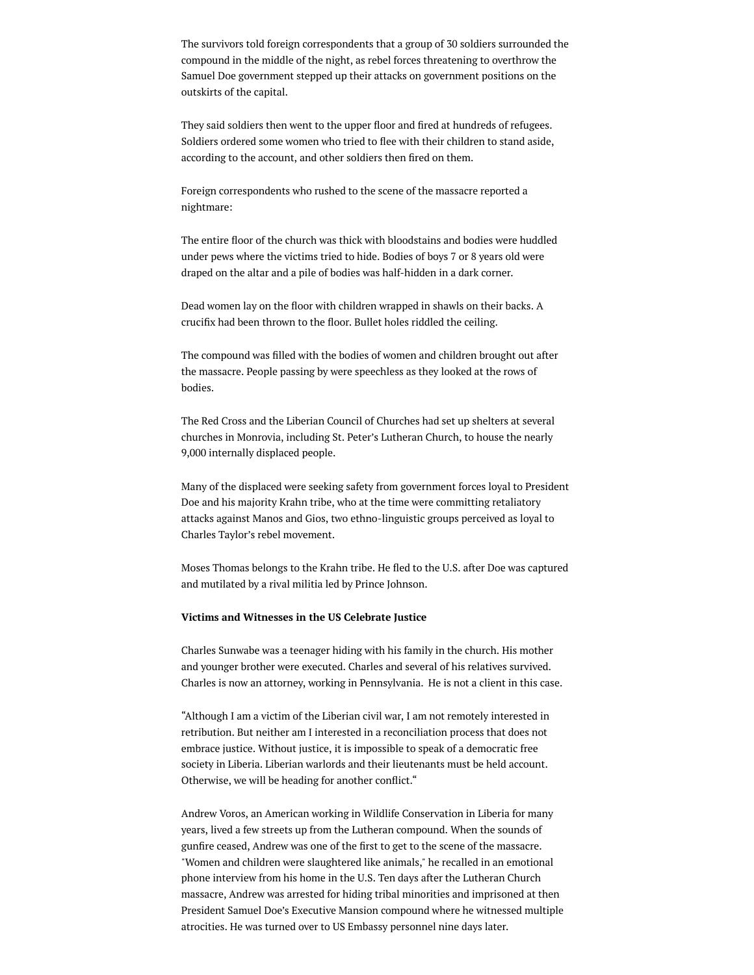The survivors told foreign correspondents that a group of 30 soldiers surrounded the compound in the middle of the night, as rebel forces threatening to overthrow the Samuel Doe government stepped up their attacks on government positions on the outskirts of the capital.

They said soldiers then went to the upper floor and fired at hundreds of refugees. Soldiers ordered some women who tried to flee with their children to stand aside, according to the account, and other soldiers then fired on them.

Foreign correspondents who rushed to the scene of the massacre reported a nightmare:

The entire floor of the church was thick with bloodstains and bodies were huddled under pews where the victims tried to hide. Bodies of boys 7 or 8 years old were draped on the altar and a pile of bodies was half-hidden in a dark corner.

Dead women lay on the floor with children wrapped in shawls on their backs. A crucifix had been thrown to the floor. Bullet holes riddled the ceiling.

The compound was filled with the bodies of women and children brought out after the massacre. People passing by were speechless as they looked at the rows of bodies.

The Red Cross and the Liberian Council of Churches had set up shelters at several churches in Monrovia, including St. Peter's Lutheran Church, to house the nearly 9,000 internally displaced people.

Many of the displaced were seeking safety from government forces loyal to President Doe and his majority Krahn tribe, who at the time were committing retaliatory attacks against Manos and Gios, two ethno-linguistic groups perceived as loyal to Charles Taylor's rebel movement.

Moses Thomas belongs to the Krahn tribe. He fled to the U.S. after Doe was captured and mutilated by a rival militia led by Prince Johnson.

## Victims and Witnesses in the US Celebrate Justice

Charles Sunwabe was a teenager hiding with his family in the church. His mother and younger brother were executed. Charles and several of his relatives survived. Charles is now an attorney, working in Pennsylvania. He is not a client in this case.

"Although I am a victim of the Liberian civil war, I am not remotely interested in retribution. But neither am I interested in a reconciliation process that does not embrace justice. Without justice, it is impossible to speak of a democratic free society in Liberia. Liberian warlords and their lieutenants must be held account. Otherwise, we will be heading for another conflict."

Andrew Voros, an American working in Wildlife Conservation in Liberia for many years, lived a few streets up from the Lutheran compound. When the sounds of gunfire ceased, Andrew was one of the first to get to the scene of the massacre. "Women and children were slaughtered like animals," he recalled in an emotional phone interview from his home in the U.S. Ten days after the Lutheran Church massacre, Andrew was arrested for hiding tribal minorities and imprisoned at then President Samuel Doe's Executive Mansion compound where he witnessed multiple atrocities. He was turned over to US Embassy personnel nine days later.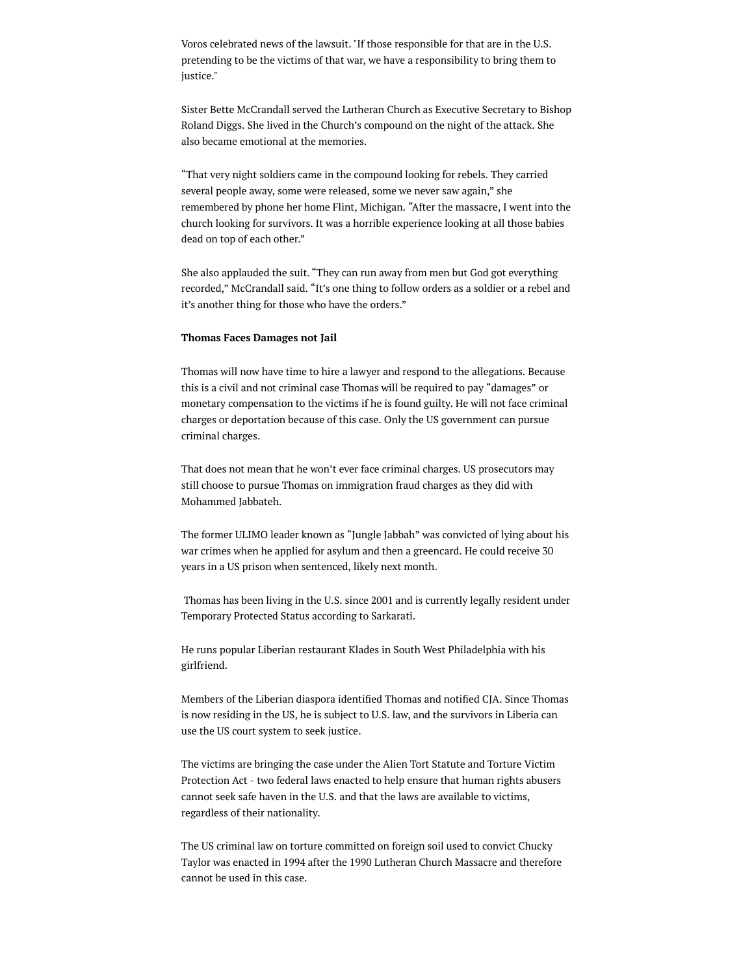Voros celebrated news of the lawsuit."If those responsible for that are in the U.S. pretending to be the victims of that war, we have a responsibility to bring them to justice."

Sister Bette McCrandall served the Lutheran Church as Executive Secretary to Bishop Roland Diggs. She lived in the Church's compound on the night of the attack. She also became emotional at the memories.

"That very night soldiers came in the compound looking for rebels. They carried several people away, some were released, some we never saw again," she remembered by phone her home Flint, Michigan. "After the massacre, I went into the church looking for survivors. It was a horrible experience looking at all those babies dead on top of each other."

She also applauded the suit. "They can run away from men but God got everything recorded," McCrandall said. "It's one thing to follow orders as a soldier or a rebel and it's another thing for those who have the orders."

## Thomas Faces Damages not Jail

Thomas will now have time to hire a lawyer and respond to the allegations. Because this is a civil and not criminal case Thomas will be required to pay "damages" or monetary compensation to the victims if he is found guilty. He will not face criminal charges or deportation because of this case. Only the US government can pursue criminal charges.

That does not mean that he won't ever face criminal charges. US prosecutors may still choose to pursue Thomas on immigration fraud charges as they did with Mohammed Jabbateh.

The former ULIMO leader known as "Jungle Jabbah" was convicted of lying about his war crimes when he applied for asylum and then a greencard. He could receive 30 years in a US prison when sentenced, likely next month.

Thomas has been living in the U.S. since 2001 and is currently legally resident under Temporary Protected Status according to Sarkarati.

He runs popular Liberian restaurant Klades in South West Philadelphia with his girlfriend.

Members of the Liberian diaspora identified Thomas and notified CJA. Since Thomas is now residing in the US, he is subject to U.S. law, and the survivors in Liberia can use the US court system to seek justice.

The victims are bringing the case under the Alien Tort Statute and Torture Victim Protection Act - two federal laws enacted to help ensure that human rights abusers cannot seek safe haven in the U.S. and that the laws are available to victims, regardless of their nationality.

The US criminal law on torture committed on foreign soil used to convict Chucky Taylor was enacted in 1994 after the 1990 Lutheran Church Massacre and therefore cannot be used in this case.